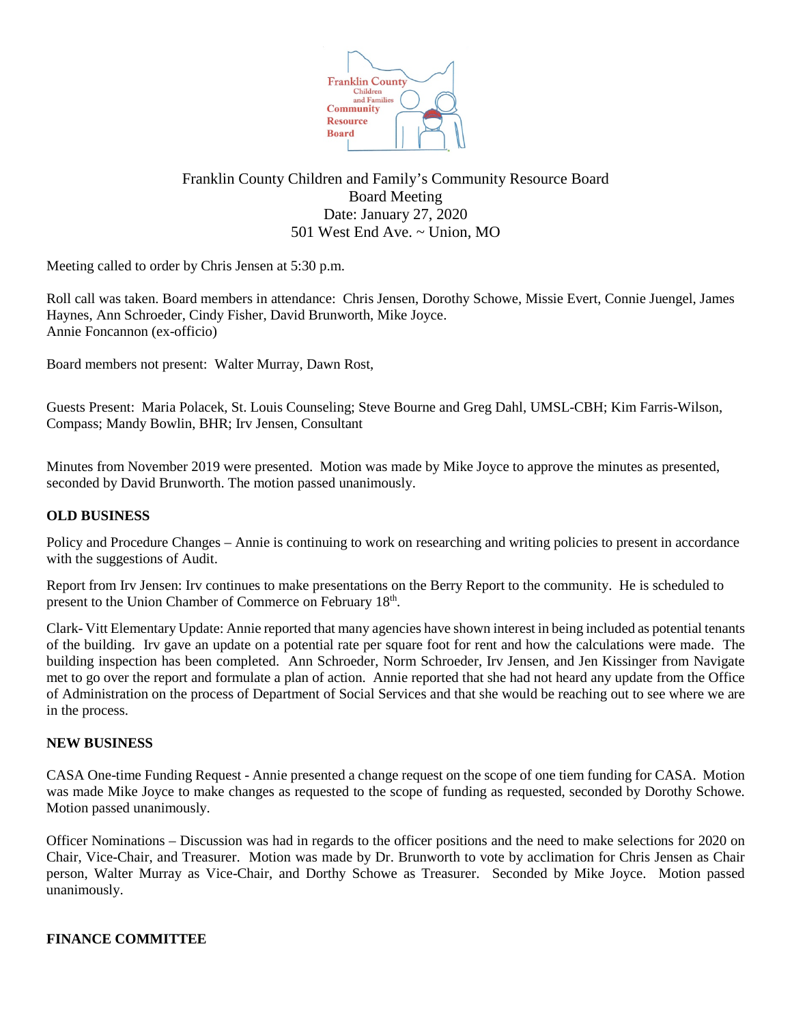

# Franklin County Children and Family's Community Resource Board Board Meeting Date: January 27, 2020 501 West End Ave. ~ Union, MO

Meeting called to order by Chris Jensen at 5:30 p.m.

Roll call was taken. Board members in attendance: Chris Jensen, Dorothy Schowe, Missie Evert, Connie Juengel, James Haynes, Ann Schroeder, Cindy Fisher, David Brunworth, Mike Joyce. Annie Foncannon (ex-officio)

Board members not present: Walter Murray, Dawn Rost,

Guests Present: Maria Polacek, St. Louis Counseling; Steve Bourne and Greg Dahl, UMSL-CBH; Kim Farris-Wilson, Compass; Mandy Bowlin, BHR; Irv Jensen, Consultant

Minutes from November 2019 were presented. Motion was made by Mike Joyce to approve the minutes as presented, seconded by David Brunworth. The motion passed unanimously.

## **OLD BUSINESS**

Policy and Procedure Changes – Annie is continuing to work on researching and writing policies to present in accordance with the suggestions of Audit.

Report from Irv Jensen: Irv continues to make presentations on the Berry Report to the community. He is scheduled to present to the Union Chamber of Commerce on February 18th.

Clark- Vitt Elementary Update: Annie reported that many agencies have shown interest in being included as potential tenants of the building. Irv gave an update on a potential rate per square foot for rent and how the calculations were made. The building inspection has been completed. Ann Schroeder, Norm Schroeder, Irv Jensen, and Jen Kissinger from Navigate met to go over the report and formulate a plan of action. Annie reported that she had not heard any update from the Office of Administration on the process of Department of Social Services and that she would be reaching out to see where we are in the process.

## **NEW BUSINESS**

CASA One-time Funding Request - Annie presented a change request on the scope of one tiem funding for CASA. Motion was made Mike Joyce to make changes as requested to the scope of funding as requested, seconded by Dorothy Schowe. Motion passed unanimously.

Officer Nominations – Discussion was had in regards to the officer positions and the need to make selections for 2020 on Chair, Vice-Chair, and Treasurer. Motion was made by Dr. Brunworth to vote by acclimation for Chris Jensen as Chair person, Walter Murray as Vice-Chair, and Dorthy Schowe as Treasurer. Seconded by Mike Joyce. Motion passed unanimously.

## **FINANCE COMMITTEE**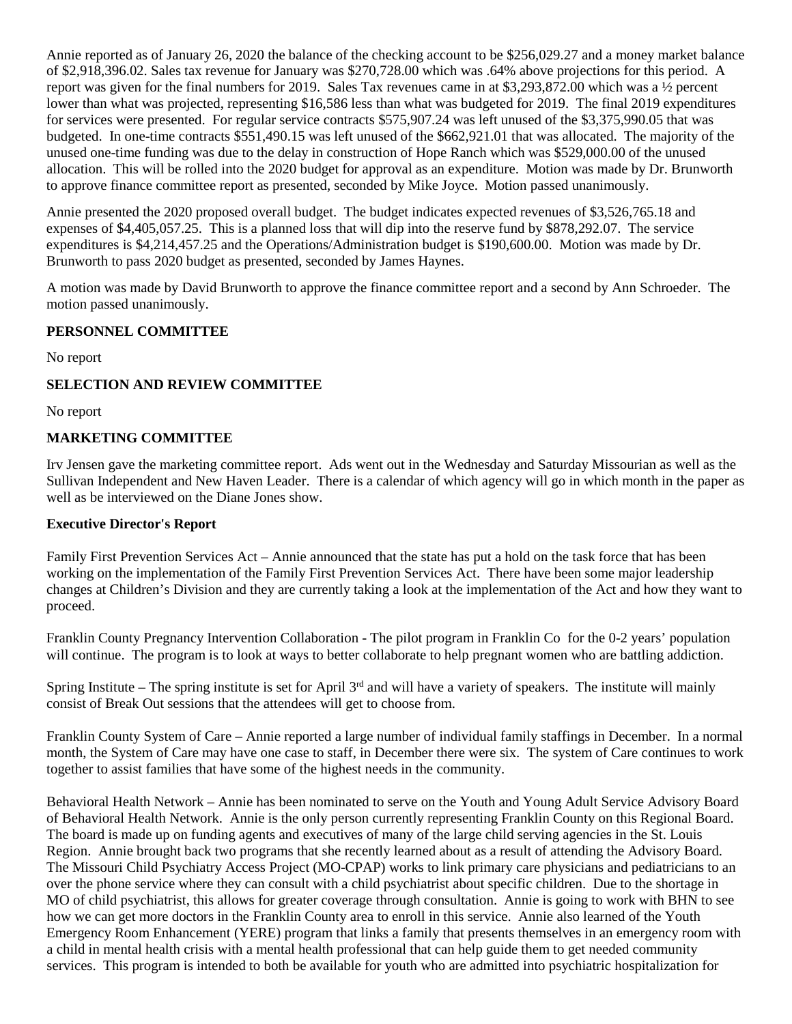Annie reported as of January 26, 2020 the balance of the checking account to be \$256,029.27 and a money market balance of \$2,918,396.02. Sales tax revenue for January was \$270,728.00 which was .64% above projections for this period. A report was given for the final numbers for 2019. Sales Tax revenues came in at \$3,293,872.00 which was a ½ percent lower than what was projected, representing \$16,586 less than what was budgeted for 2019. The final 2019 expenditures for services were presented. For regular service contracts \$575,907.24 was left unused of the \$3,375,990.05 that was budgeted. In one-time contracts \$551,490.15 was left unused of the \$662,921.01 that was allocated. The majority of the unused one-time funding was due to the delay in construction of Hope Ranch which was \$529,000.00 of the unused allocation. This will be rolled into the 2020 budget for approval as an expenditure. Motion was made by Dr. Brunworth to approve finance committee report as presented, seconded by Mike Joyce. Motion passed unanimously.

Annie presented the 2020 proposed overall budget. The budget indicates expected revenues of \$3,526,765.18 and expenses of \$4,405,057.25. This is a planned loss that will dip into the reserve fund by \$878,292.07. The service expenditures is \$4,214,457.25 and the Operations/Administration budget is \$190,600.00. Motion was made by Dr. Brunworth to pass 2020 budget as presented, seconded by James Haynes.

A motion was made by David Brunworth to approve the finance committee report and a second by Ann Schroeder. The motion passed unanimously.

## **PERSONNEL COMMITTEE**

No report

## **SELECTION AND REVIEW COMMITTEE**

No report

## **MARKETING COMMITTEE**

Irv Jensen gave the marketing committee report. Ads went out in the Wednesday and Saturday Missourian as well as the Sullivan Independent and New Haven Leader. There is a calendar of which agency will go in which month in the paper as well as be interviewed on the Diane Jones show.

## **Executive Director's Report**

Family First Prevention Services Act – Annie announced that the state has put a hold on the task force that has been working on the implementation of the Family First Prevention Services Act. There have been some major leadership changes at Children's Division and they are currently taking a look at the implementation of the Act and how they want to proceed.

Franklin County Pregnancy Intervention Collaboration - The pilot program in Franklin Co for the 0-2 years' population will continue. The program is to look at ways to better collaborate to help pregnant women who are battling addiction.

Spring Institute – The spring institute is set for April  $3<sup>rd</sup>$  and will have a variety of speakers. The institute will mainly consist of Break Out sessions that the attendees will get to choose from.

Franklin County System of Care – Annie reported a large number of individual family staffings in December. In a normal month, the System of Care may have one case to staff, in December there were six. The system of Care continues to work together to assist families that have some of the highest needs in the community.

Behavioral Health Network – Annie has been nominated to serve on the Youth and Young Adult Service Advisory Board of Behavioral Health Network. Annie is the only person currently representing Franklin County on this Regional Board. The board is made up on funding agents and executives of many of the large child serving agencies in the St. Louis Region. Annie brought back two programs that she recently learned about as a result of attending the Advisory Board. The Missouri Child Psychiatry Access Project (MO-CPAP) works to link primary care physicians and pediatricians to an over the phone service where they can consult with a child psychiatrist about specific children. Due to the shortage in MO of child psychiatrist, this allows for greater coverage through consultation. Annie is going to work with BHN to see how we can get more doctors in the Franklin County area to enroll in this service. Annie also learned of the Youth Emergency Room Enhancement (YERE) program that links a family that presents themselves in an emergency room with a child in mental health crisis with a mental health professional that can help guide them to get needed community services. This program is intended to both be available for youth who are admitted into psychiatric hospitalization for